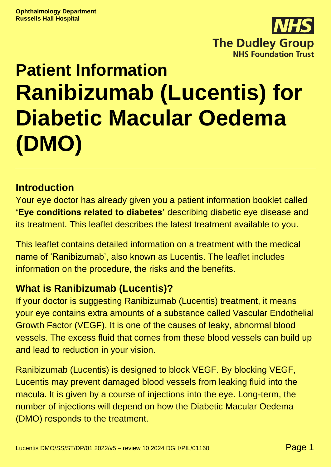

# **Patient Information Ranibizumab (Lucentis) for Diabetic Macular Oedema (DMO)**

#### **Introduction**

Your eye doctor has already given you a patient information booklet called **'Eye conditions related to diabetes'** describing diabetic eye disease and its treatment. This leaflet describes the latest treatment available to you.

This leaflet contains detailed information on a treatment with the medical name of 'Ranibizumab', also known as Lucentis. The leaflet includes information on the procedure, the risks and the benefits.

#### **What is Ranibizumab (Lucentis)?**

If your doctor is suggesting Ranibizumab (Lucentis) treatment, it means your eye contains extra amounts of a substance called Vascular Endothelial Growth Factor (VEGF). It is one of the causes of leaky, abnormal blood vessels. The excess fluid that comes from these blood vessels can build up and lead to reduction in your vision.

Ranibizumab (Lucentis) is designed to block VEGF. By blocking VEGF, Lucentis may prevent damaged blood vessels from leaking fluid into the macula. It is given by a course of injections into the eye. Long-term, the number of injections will depend on how the Diabetic Macular Oedema (DMO) responds to the treatment.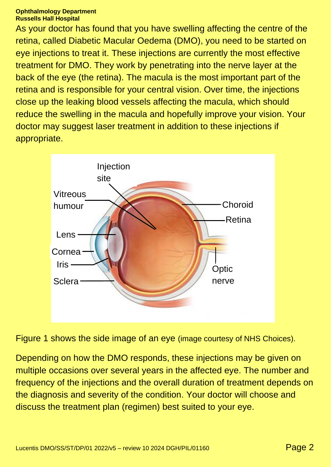#### **Ophthalmology Department Russells Hall Hospital**

As your doctor has found that you have swelling affecting the centre of the retina, called Diabetic Macular Oedema (DMO), you need to be started on eye injections to treat it. These injections are currently the most effective treatment for DMO. They work by penetrating into the nerve layer at the back of the eye (the retina). The macula is the most important part of the retina and is responsible for your central vision. Over time, the injections close up the leaking blood vessels affecting the macula, which should reduce the swelling in the macula and hopefully improve your vision. Your doctor may suggest laser treatment in addition to these injections if appropriate.



Figure 1 shows the side image of an eye (image courtesy of NHS Choices).

Depending on how the DMO responds, these injections may be given on multiple occasions over several years in the affected eye. The number and frequency of the injections and the overall duration of treatment depends on the diagnosis and severity of the condition. Your doctor will choose and discuss the treatment plan (regimen) best suited to your eye.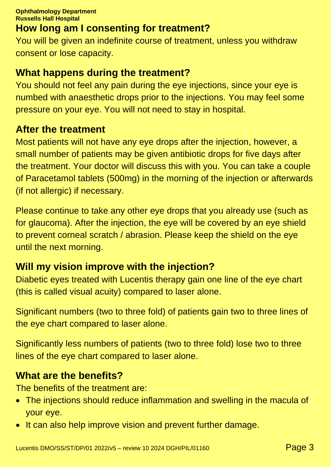#### **How long am I consenting for treatment?**

You will be given an indefinite course of treatment, unless you withdraw consent or lose capacity.

#### **What happens during the treatment?**

You should not feel any pain during the eye injections, since your eye is numbed with anaesthetic drops prior to the injections. You may feel some pressure on your eye. You will not need to stay in hospital.

#### **After the treatment**

Most patients will not have any eye drops after the injection, however, a small number of patients may be given antibiotic drops for five days after the treatment. Your doctor will discuss this with you. You can take a couple of Paracetamol tablets (500mg) in the morning of the injection or afterwards (if not allergic) if necessary.

Please continue to take any other eye drops that you already use (such as for glaucoma). After the injection, the eye will be covered by an eye shield to prevent corneal scratch / abrasion. Please keep the shield on the eye until the next morning.

#### **Will my vision improve with the injection?**

Diabetic eyes treated with Lucentis therapy gain one line of the eye chart (this is called visual acuity) compared to laser alone.

Significant numbers (two to three fold) of patients gain two to three lines of the eye chart compared to laser alone.

Significantly less numbers of patients (two to three fold) lose two to three lines of the eye chart compared to laser alone.

#### **What are the benefits?**

The benefits of the treatment are:

- The injections should reduce inflammation and swelling in the macula of your eye.
- It can also help improve vision and prevent further damage.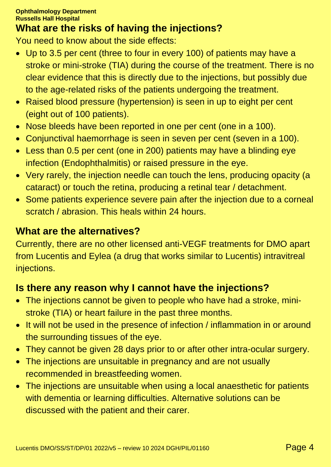### **What are the risks of having the injections?**

You need to know about the side effects:

- Up to 3.5 per cent (three to four in every 100) of patients may have a stroke or mini-stroke (TIA) during the course of the treatment. There is no clear evidence that this is directly due to the injections, but possibly due to the age-related risks of the patients undergoing the treatment.
- Raised blood pressure (hypertension) is seen in up to eight per cent (eight out of 100 patients).
- Nose bleeds have been reported in one per cent (one in a 100).
- Conjunctival haemorrhage is seen in seven per cent (seven in a 100).
- Less than 0.5 per cent (one in 200) patients may have a blinding eye infection (Endophthalmitis) or raised pressure in the eye.
- Very rarely, the injection needle can touch the lens, producing opacity (a cataract) or touch the retina, producing a retinal tear / detachment.
- Some patients experience severe pain after the injection due to a corneal scratch / abrasion. This heals within 24 hours.

#### **What are the alternatives?**

Currently, there are no other licensed anti-VEGF treatments for DMO apart from Lucentis and Eylea (a drug that works similar to Lucentis) intravitreal injections.

## **Is there any reason why I cannot have the injections?**

- The injections cannot be given to people who have had a stroke, ministroke (TIA) or heart failure in the past three months.
- It will not be used in the presence of infection / inflammation in or around the surrounding tissues of the eye.
- They cannot be given 28 days prior to or after other intra-ocular surgery.
- The injections are unsuitable in pregnancy and are not usually recommended in breastfeeding women.
- The injections are unsuitable when using a local anaesthetic for patients with dementia or learning difficulties. Alternative solutions can be discussed with the patient and their carer.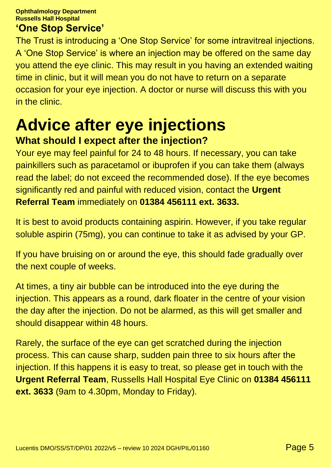**Ophthalmology Department Russells Hall Hospital**

#### **'One Stop Service'**

The Trust is introducing a 'One Stop Service' for some intravitreal injections. A 'One Stop Service' is where an injection may be offered on the same day you attend the eye clinic. This may result in you having an extended waiting time in clinic, but it will mean you do not have to return on a separate occasion for your eye injection. A doctor or nurse will discuss this with you in the clinic.

## **Advice after eye injections What should I expect after the injection?**

Your eye may feel painful for 24 to 48 hours. If necessary, you can take painkillers such as paracetamol or ibuprofen if you can take them (always read the label; do not exceed the recommended dose). If the eye becomes significantly red and painful with reduced vision, contact the **Urgent Referral Team** immediately on **01384 456111 ext. 3633.**

It is best to avoid products containing aspirin. However, if you take regular soluble aspirin (75mg), you can continue to take it as advised by your GP.

If you have bruising on or around the eye, this should fade gradually over the next couple of weeks.

At times, a tiny air bubble can be introduced into the eye during the injection. This appears as a round, dark floater in the centre of your vision the day after the injection. Do not be alarmed, as this will get smaller and should disappear within 48 hours.

Rarely, the surface of the eye can get scratched during the injection process. This can cause sharp, sudden pain three to six hours after the injection. If this happens it is easy to treat, so please get in touch with the **Urgent Referral Team**, Russells Hall Hospital Eye Clinic on **01384 456111 ext. 3633** (9am to 4.30pm, Monday to Friday).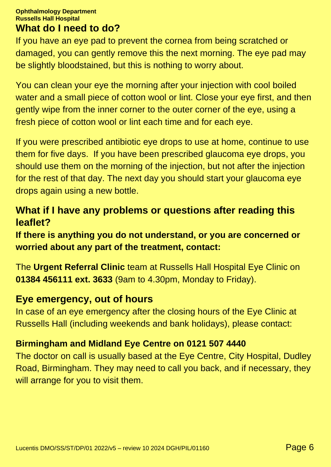#### **Ophthalmology Department Russells Hall Hospital What do I need to do?**

If you have an eye pad to prevent the cornea from being scratched or damaged, you can gently remove this the next morning. The eye pad may be slightly bloodstained, but this is nothing to worry about.

You can clean your eye the morning after your injection with cool boiled water and a small piece of cotton wool or lint. Close your eye first, and then gently wipe from the inner corner to the outer corner of the eye, using a fresh piece of cotton wool or lint each time and for each eye.

If you were prescribed antibiotic eye drops to use at home, continue to use them for five days. If you have been prescribed glaucoma eye drops, you should use them on the morning of the injection, but not after the injection for the rest of that day. The next day you should start your glaucoma eye drops again using a new bottle.

#### **What if I have any problems or questions after reading this leaflet?**

**If there is anything you do not understand, or you are concerned or worried about any part of the treatment, contact:**

The **Urgent Referral Clinic** team at Russells Hall Hospital Eye Clinic on **01384 456111 ext. 3633** (9am to 4.30pm, Monday to Friday).

#### **Eye emergency, out of hours**

In case of an eye emergency after the closing hours of the Eye Clinic at Russells Hall (including weekends and bank holidays), please contact:

#### **Birmingham and Midland Eye Centre on 0121 507 4440**

The doctor on call is usually based at the Eye Centre, City Hospital, Dudley Road, Birmingham. They may need to call you back, and if necessary, they will arrange for you to visit them.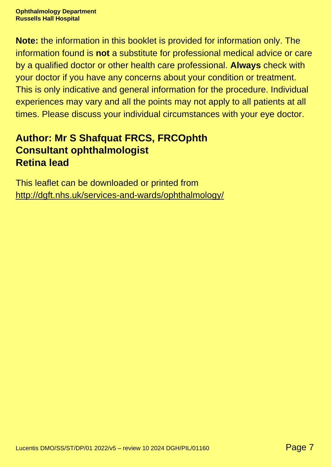**Note:** the information in this booklet is provided for information only. The information found is **not** a substitute for professional medical advice or care by a qualified doctor or other health care professional. **Always** check with your doctor if you have any concerns about your condition or treatment. This is only indicative and general information for the procedure. Individual experiences may vary and all the points may not apply to all patients at all times. Please discuss your individual circumstances with your eye doctor.

#### **Author: Mr S Shafquat FRCS, FRCOphth Consultant ophthalmologist Retina lead**

This leaflet can be downloaded or printed from <http://dgft.nhs.uk/services-and-wards/ophthalmology/>